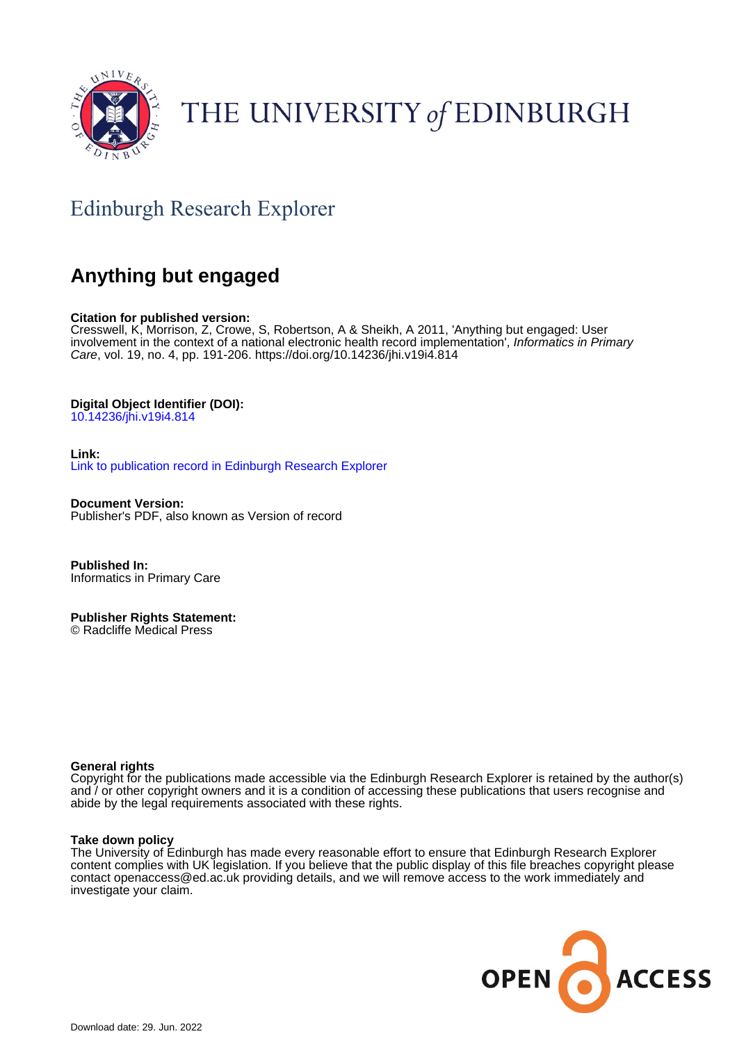

# THE UNIVERSITY of EDINBURGH

# Edinburgh Research Explorer

# **Anything but engaged**

### **Citation for published version:**

Cresswell, K, Morrison, Z, Crowe, S, Robertson, A & Sheikh, A 2011, 'Anything but engaged: User involvement in the context of a national electronic health record implementation', Informatics in Primary Care, vol. 19, no. 4, pp. 191-206. <https://doi.org/10.14236/jhi.v19i4.814>

### **Digital Object Identifier (DOI):**

[10.14236/jhi.v19i4.814](https://doi.org/10.14236/jhi.v19i4.814)

**Link:** [Link to publication record in Edinburgh Research Explorer](https://www.research.ed.ac.uk/en/publications/2e20b47e-3ff2-4d64-bff3-0881f99495ae)

**Document Version:** Publisher's PDF, also known as Version of record

**Published In:** Informatics in Primary Care

**Publisher Rights Statement:** © Radcliffe Medical Press

### **General rights**

Copyright for the publications made accessible via the Edinburgh Research Explorer is retained by the author(s) and / or other copyright owners and it is a condition of accessing these publications that users recognise and abide by the legal requirements associated with these rights.

### **Take down policy**

The University of Edinburgh has made every reasonable effort to ensure that Edinburgh Research Explorer content complies with UK legislation. If you believe that the public display of this file breaches copyright please contact openaccess@ed.ac.uk providing details, and we will remove access to the work immediately and investigate your claim.

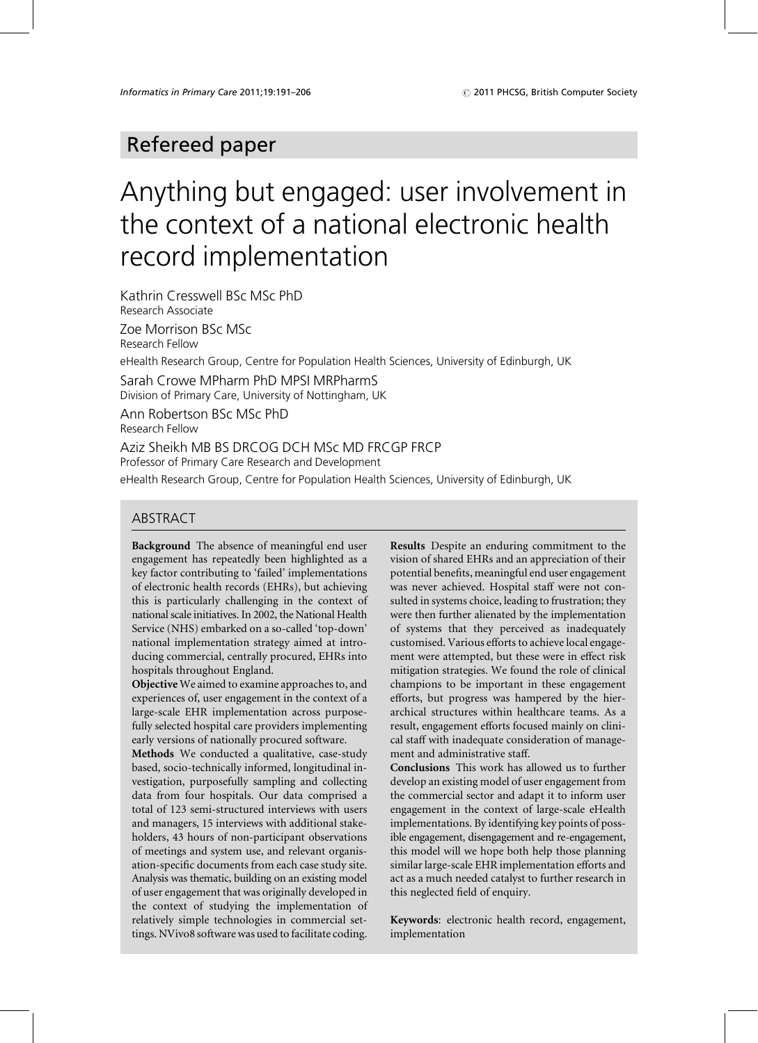# Refereed paper

# Anything but engaged: user involvement in the context of a national electronic health record implementation

Kathrin Cresswell BSc MSc PhD Research Associate

Zoe Morrison BSc MSc Research Fellow

eHealth Research Group, Centre for Population Health Sciences, University of Edinburgh, UK

Sarah Crowe MPharm PhD MPSI MRPharmS Division of Primary Care, University of Nottingham, UK

Ann Robertson BSc MSc PhD Research Fellow

Aziz Sheikh MB BS DRCOG DCH MSc MD FRCGP FRCP

Professor of Primary Care Research and Development

eHealth Research Group, Centre for Population Health Sciences, University of Edinburgh, UK

### **ABSTRACT**

Background The absence of meaningful end user engagement has repeatedly been highlighted as a key factor contributing to 'failed' implementations of electronic health records (EHRs), but achieving this is particularly challenging in the context of national scale initiatives. In 2002, the National Health Service (NHS) embarked on a so-called 'top-down' national implementation strategy aimed at introducing commercial, centrally procured, EHRs into hospitals throughout England.

Objective We aimed to examine approaches to, and experiences of, user engagement in the context of a large-scale EHR implementation across purposefully selected hospital care providers implementing early versions of nationally procured software.

Methods We conducted a qualitative, case-study based, socio-technically informed, longitudinal investigation, purposefully sampling and collecting data from four hospitals. Our data comprised a total of 123 semi-structured interviews with users and managers, 15 interviews with additional stakeholders, 43 hours of non-participant observations of meetings and system use, and relevant organisation-specific documents from each case study site. Analysis was thematic, building on an existing model of user engagement that was originally developed in the context of studying the implementation of relatively simple technologies in commercial settings. NVivo8 software was used to facilitate coding.

Results Despite an enduring commitment to the vision of shared EHRs and an appreciation of their potential benefits, meaningful end user engagement was never achieved. Hospital staff were not consulted in systems choice, leading to frustration; they were then further alienated by the implementation of systems that they perceived as inadequately customised. Various efforts to achieve local engagement were attempted, but these were in effect risk mitigation strategies. We found the role of clinical champions to be important in these engagement efforts, but progress was hampered by the hierarchical structures within healthcare teams. As a result, engagement efforts focused mainly on clinical staff with inadequate consideration of management and administrative staff.

**Conclusions** This work has allowed us to further develop an existing model of user engagement from the commercial sector and adapt it to inform user engagement in the context of large-scale eHealth implementations. By identifying key points of possible engagement, disengagement and re-engagement, this model will we hope both help those planning similar large-scale EHR implementation efforts and act as a much needed catalyst to further research in this neglected field of enquiry.

Keywords: electronic health record, engagement, implementation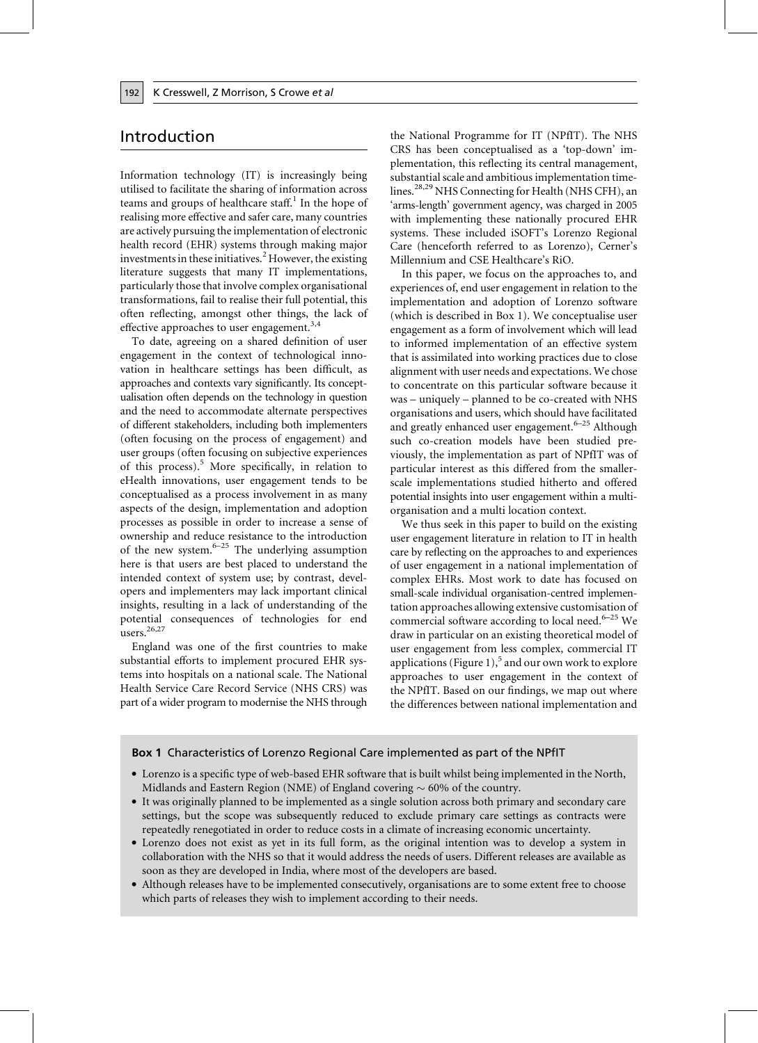# Introduction

Information technology (IT) is increasingly being utilised to facilitate the sharing of information across teams and groups of healthcare staff.<sup>1</sup> In the hope of realising more effective and safer care, many countries are actively pursuing the implementation of electronic health record (EHR) systems through making major investments in these initiatives.<sup>2</sup> However, the existing literature suggests that many IT implementations, particularly those that involve complex organisational transformations, fail to realise their full potential, this often reflecting, amongst other things, the lack of effective approaches to user engagement.<sup>3,4</sup>

To date, agreeing on a shared definition of user engagement in the context of technological innovation in healthcare settings has been difficult, as approaches and contexts vary significantly. Its conceptualisation often depends on the technology in question and the need to accommodate alternate perspectives of different stakeholders, including both implementers (often focusing on the process of engagement) and user groups (often focusing on subjective experiences of this process).<sup>5</sup> More specifically, in relation to eHealth innovations, user engagement tends to be conceptualised as a process involvement in as many aspects of the design, implementation and adoption processes as possible in order to increase a sense of ownership and reduce resistance to the introduction of the new system. $6-25$  The underlying assumption here is that users are best placed to understand the intended context of system use; by contrast, developers and implementers may lack important clinical insights, resulting in a lack of understanding of the potential consequences of technologies for end users.<sup>26,27</sup>

England was one of the first countries to make substantial efforts to implement procured EHR systems into hospitals on a national scale. The National Health Service Care Record Service (NHS CRS) was part of a wider program to modernise the NHS through the National Programme for IT (NPfIT). The NHS CRS has been conceptualised as a 'top-down' implementation, this reflecting its central management, substantial scale and ambitious implementation timelines.<sup>28,29</sup> NHS Connecting for Health (NHS CFH), an 'arms-length' government agency, was charged in 2005 with implementing these nationally procured EHR systems. These included iSOFT's Lorenzo Regional Care (henceforth referred to as Lorenzo), Cerner's Millennium and CSE Healthcare's RiO.

In this paper, we focus on the approaches to, and experiences of, end user engagement in relation to the implementation and adoption of Lorenzo software (which is described in Box 1). We conceptualise user engagement as a form of involvement which will lead to informed implementation of an effective system that is assimilated into working practices due to close alignment with user needs and expectations. We chose to concentrate on this particular software because it was - uniquely - planned to be co-created with NHS organisations and users, which should have facilitated and greatly enhanced user engagement.<sup>6-25</sup> Although such co-creation models have been studied previously, the implementation as part of NPfIT was of particular interest as this differed from the smallerscale implementations studied hitherto and offered potential insights into user engagement within a multiorganisation and a multi location context.

We thus seek in this paper to build on the existing user engagement literature in relation to IT in health care by reflecting on the approaches to and experiences of user engagement in a national implementation of complex EHRs. Most work to date has focused on small-scale individual organisation-centred implementation approaches allowing extensive customisation of commercial software according to local need. $6-25$  We draw in particular on an existing theoretical model of user engagement from less complex, commercial IT applications (Figure 1),<sup>5</sup> and our own work to explore approaches to user engagement in the context of the NPfIT. Based on our findings, we map out where the differences between national implementation and

### **Box 1** Characteristics of Lorenzo Regional Care implemented as part of the NPfIT

- Lorenzo is a specific type of web-based EHR software that is built whilst being implemented in the North, Midlands and Eastern Region (NME) of England covering  $\sim$  60% of the country.
- It was originally planned to be implemented as a single solution across both primary and secondary care settings, but the scope was subsequently reduced to exclude primary care settings as contracts were repeatedly renegotiated in order to reduce costs in a climate of increasing economic uncertainty.
- Lorenzo does not exist as yet in its full form, as the original intention was to develop a system in collaboration with the NHS so that it would address the needs of users. Different releases are available as soon as they are developed in India, where most of the developers are based.
- Although releases have to be implemented consecutively, organisations are to some extent free to choose which parts of releases they wish to implement according to their needs.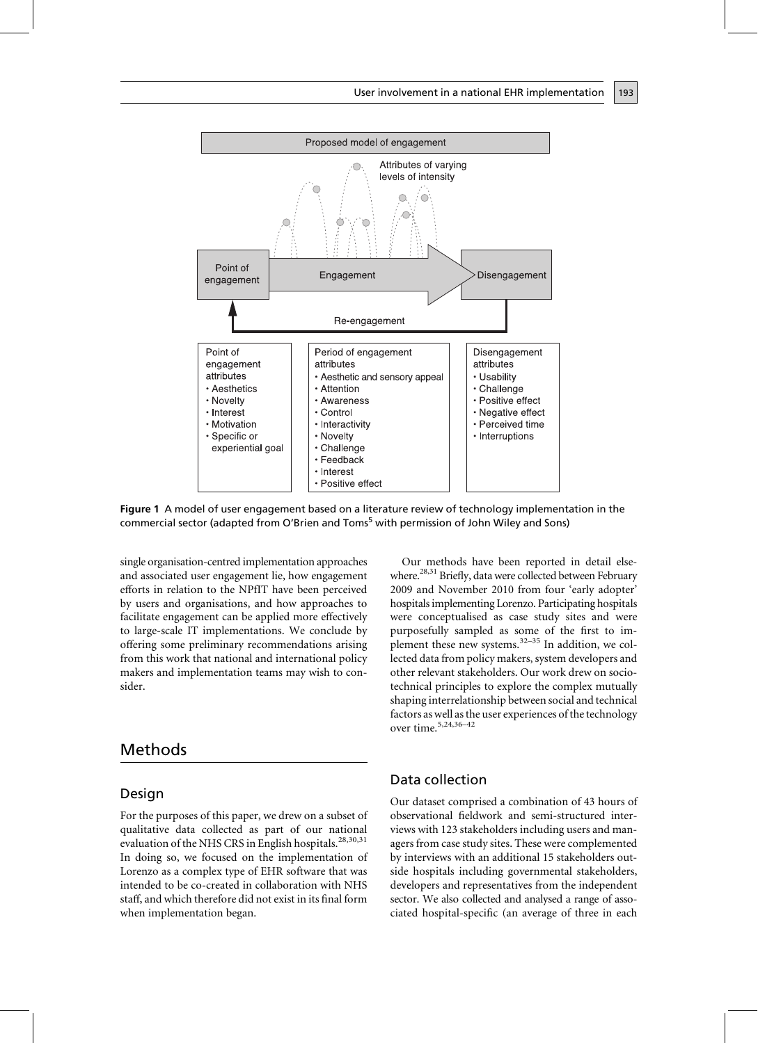

Figure 1 A model of user engagement based on a literature review of technology implementation in the commercial sector (adapted from O'Brien and Toms<sup>5</sup> with permission of John Wiley and Sons)

single organisation-centred implementation approaches and associated user engagement lie, how engagement efforts in relation to the NPfIT have been perceived by users and organisations, and how approaches to facilitate engagement can be applied more effectively to large-scale IT implementations. We conclude by offering some preliminary recommendations arising from this work that national and international policy makers and implementation teams may wish to consider

# Methods

### Design

For the purposes of this paper, we drew on a subset of qualitative data collected as part of our national evaluation of the NHS CRS in English hospitals.<sup>28,30,31</sup> In doing so, we focused on the implementation of Lorenzo as a complex type of EHR software that was intended to be co-created in collaboration with NHS staff, and which therefore did not exist in its final form when implementation began.

Our methods have been reported in detail elsewhere.<sup>28,31</sup> Briefly, data were collected between February 2009 and November 2010 from four 'early adopter' hospitals implementing Lorenzo. Participating hospitals were conceptualised as case study sites and were purposefully sampled as some of the first to implement these new systems.  $32-35$  In addition, we collected data from policy makers, system developers and other relevant stakeholders. Our work drew on sociotechnical principles to explore the complex mutually shaping interrelationship between social and technical factors as well as the user experiences of the technology over time.<sup>5,24,36-42</sup>

### Data collection

Our dataset comprised a combination of 43 hours of observational fieldwork and semi-structured interviews with 123 stakeholders including users and managers from case study sites. These were complemented by interviews with an additional 15 stakeholders outside hospitals including governmental stakeholders, developers and representatives from the independent sector. We also collected and analysed a range of associated hospital-specific (an average of three in each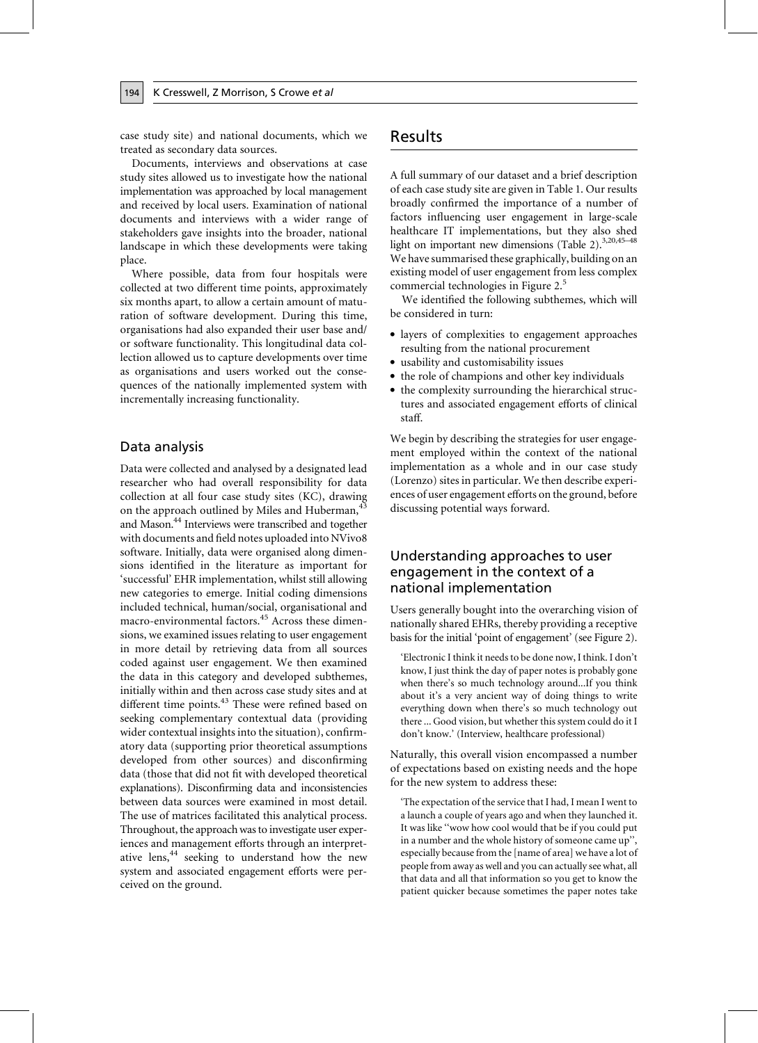case study site) and national documents, which we treated as secondary data sources.

Documents, interviews and observations at case study sites allowed us to investigate how the national implementation was approached by local management and received by local users. Examination of national documents and interviews with a wider range of stakeholders gave insights into the broader, national landscape in which these developments were taking place.

Where possible, data from four hospitals were collected at two different time points, approximately six months apart, to allow a certain amount of maturation of software development. During this time, organisations had also expanded their user base and/ or software functionality. This longitudinal data collection allowed us to capture developments over time as organisations and users worked out the consequences of the nationally implemented system with incrementally increasing functionality.

### Data analysis

194

Data were collected and analysed by a designated lead researcher who had overall responsibility for data collection at all four case study sites (KC), drawing on the approach outlined by Miles and Huberman,<sup>4</sup> and Mason.<sup>44</sup> Interviews were transcribed and together with documents and field notes uploaded into NVivo8 software. Initially, data were organised along dimensions identified in the literature as important for 'successful' EHR implementation, whilst still allowing new categories to emerge. Initial coding dimensions included technical, human/social, organisational and macro-environmental factors.<sup>45</sup> Across these dimensions, we examined issues relating to user engagement in more detail by retrieving data from all sources coded against user engagement. We then examined the data in this category and developed subthemes, initially within and then across case study sites and at different time points.<sup>43</sup> These were refined based on seeking complementary contextual data (providing wider contextual insights into the situation), confirmatory data (supporting prior theoretical assumptions developed from other sources) and disconfirming data (those that did not fit with developed theoretical explanations). Disconfirming data and inconsistencies between data sources were examined in most detail. The use of matrices facilitated this analytical process. Throughout, the approach was to investigate user experiences and management efforts through an interpretative lens,<sup>44</sup> seeking to understand how the new system and associated engagement efforts were perceived on the ground.

# Results

A full summary of our dataset and a brief description of each case study site are given in Table 1. Our results broadly confirmed the importance of a number of factors influencing user engagement in large-scale healthcare IT implementations, but they also shed light on important new dimensions (Table 2).<sup>3,20,45-48</sup> We have summarised these graphically, building on an existing model of user engagement from less complex commercial technologies in Figure 2.<sup>5</sup>

We identified the following subthemes, which will be considered in turn:

- layers of complexities to engagement approaches resulting from the national procurement
- usability and customisability issues
- the role of champions and other key individuals
- the complexity surrounding the hierarchical structures and associated engagement efforts of clinical staff.

We begin by describing the strategies for user engagement employed within the context of the national implementation as a whole and in our case study (Lorenzo) sites in particular. We then describe experiences of user engagement efforts on the ground, before discussing potential ways forward.

## Understanding approaches to user engagement in the context of a national implementation

Users generally bought into the overarching vision of nationally shared EHRs, thereby providing a receptive basis for the initial 'point of engagement' (see Figure 2).

'Electronic I think it needs to be done now, I think. I don't know, I just think the day of paper notes is probably gone when there's so much technology around...If you think about it's a very ancient way of doing things to write everything down when there's so much technology out there ... Good vision, but whether this system could do it I don't know.' (Interview, healthcare professional)

Naturally, this overall vision encompassed a number of expectations based on existing needs and the hope for the new system to address these:

'The expectation of the service that I had, I mean I went to a launch a couple of years ago and when they launched it. It was like "wow how cool would that be if you could put in a number and the whole history of someone came up", especially because from the [name of area] we have a lot of people from away as well and you can actually see what, all that data and all that information so you get to know the patient quicker because sometimes the paper notes take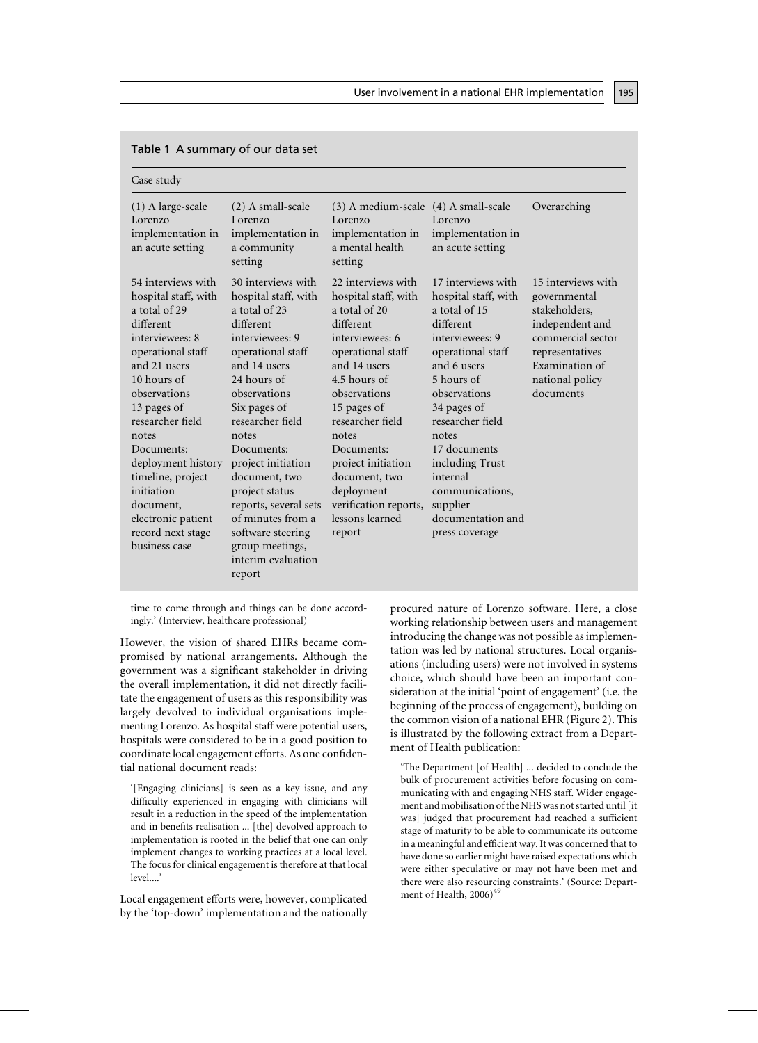| Case study                                                                                                                                                                                                                                                                                                                                                  |                                                                                                                                                                                                                                                                                                                                                                                                           |                                                                                                                                                                                                                                                                                                                                       |                                                                                                                                                                                                                                                                                                                                |                                                                                                                                                                  |
|-------------------------------------------------------------------------------------------------------------------------------------------------------------------------------------------------------------------------------------------------------------------------------------------------------------------------------------------------------------|-----------------------------------------------------------------------------------------------------------------------------------------------------------------------------------------------------------------------------------------------------------------------------------------------------------------------------------------------------------------------------------------------------------|---------------------------------------------------------------------------------------------------------------------------------------------------------------------------------------------------------------------------------------------------------------------------------------------------------------------------------------|--------------------------------------------------------------------------------------------------------------------------------------------------------------------------------------------------------------------------------------------------------------------------------------------------------------------------------|------------------------------------------------------------------------------------------------------------------------------------------------------------------|
| $(1)$ A large-scale<br>Lorenzo<br>implementation in<br>an acute setting                                                                                                                                                                                                                                                                                     | (2) A small-scale<br>Lorenzo<br>implementation in<br>a community<br>setting                                                                                                                                                                                                                                                                                                                               | (3) A medium-scale (4) A small-scale<br>Lorenzo<br>implementation in<br>a mental health<br>setting                                                                                                                                                                                                                                    | Lorenzo<br>implementation in<br>an acute setting                                                                                                                                                                                                                                                                               | Overarching                                                                                                                                                      |
| 54 interviews with<br>hospital staff, with<br>a total of 29<br>different<br>interviewees: 8<br>operational staff<br>and 21 users<br>10 hours of<br>observations<br>13 pages of<br>researcher field<br>notes<br>Documents:<br>deployment history<br>timeline, project<br>initiation<br>document,<br>electronic patient<br>record next stage<br>business case | 30 interviews with<br>hospital staff, with<br>a total of 23<br>different<br>interviewees: 9<br>operational staff<br>and 14 users<br>24 hours of<br>observations<br>Six pages of<br>researcher field<br>notes<br>Documents:<br>project initiation<br>document, two<br>project status<br>reports, several sets<br>of minutes from a<br>software steering<br>group meetings,<br>interim evaluation<br>report | 22 interviews with<br>hospital staff, with<br>a total of 20<br>different<br>interviewees: 6<br>operational staff<br>and 14 users<br>4.5 hours of<br>observations<br>15 pages of<br>researcher field<br>notes<br>Documents:<br>project initiation<br>document, two<br>deployment<br>verification reports,<br>lessons learned<br>report | 17 interviews with<br>hospital staff, with<br>a total of 15<br>different<br>interviewees: 9<br>operational staff<br>and 6 users<br>5 hours of<br>observations<br>34 pages of<br>researcher field<br>notes<br>17 documents<br>including Trust<br>internal<br>communications,<br>supplier<br>documentation and<br>press coverage | 15 interviews with<br>governmental<br>stakeholders,<br>independent and<br>commercial sector<br>representatives<br>Examination of<br>national policy<br>documents |

### Table 1 A summary of our data set

time to come through and things can be done accordingly.' (Interview, healthcare professional)

However, the vision of shared EHRs became compromised by national arrangements. Although the government was a significant stakeholder in driving the overall implementation, it did not directly facilitate the engagement of users as this responsibility was largely devolved to individual organisations implementing Lorenzo. As hospital staff were potential users, hospitals were considered to be in a good position to coordinate local engagement efforts. As one confidential national document reads:

'[Engaging clinicians] is seen as a key issue, and any difficulty experienced in engaging with clinicians will result in a reduction in the speed of the implementation and in benefits realisation ... [the] devolved approach to implementation is rooted in the belief that one can only implement changes to working practices at a local level. The focus for clinical engagement is therefore at that local  $level$ 

Local engagement efforts were, however, complicated by the 'top-down' implementation and the nationally procured nature of Lorenzo software. Here, a close working relationship between users and management introducing the change was not possible as implementation was led by national structures. Local organisations (including users) were not involved in systems choice, which should have been an important consideration at the initial 'point of engagement' (i.e. the beginning of the process of engagement), building on the common vision of a national EHR (Figure 2). This is illustrated by the following extract from a Department of Health publication:

'The Department [of Health] ... decided to conclude the bulk of procurement activities before focusing on communicating with and engaging NHS staff. Wider engagement and mobilisation of the NHS was not started until [it] was] judged that procurement had reached a sufficient stage of maturity to be able to communicate its outcome in a meaningful and efficient way. It was concerned that to have done so earlier might have raised expectations which were either speculative or may not have been met and there were also resourcing constraints.' (Source: Department of Health, 2006)<sup>49</sup>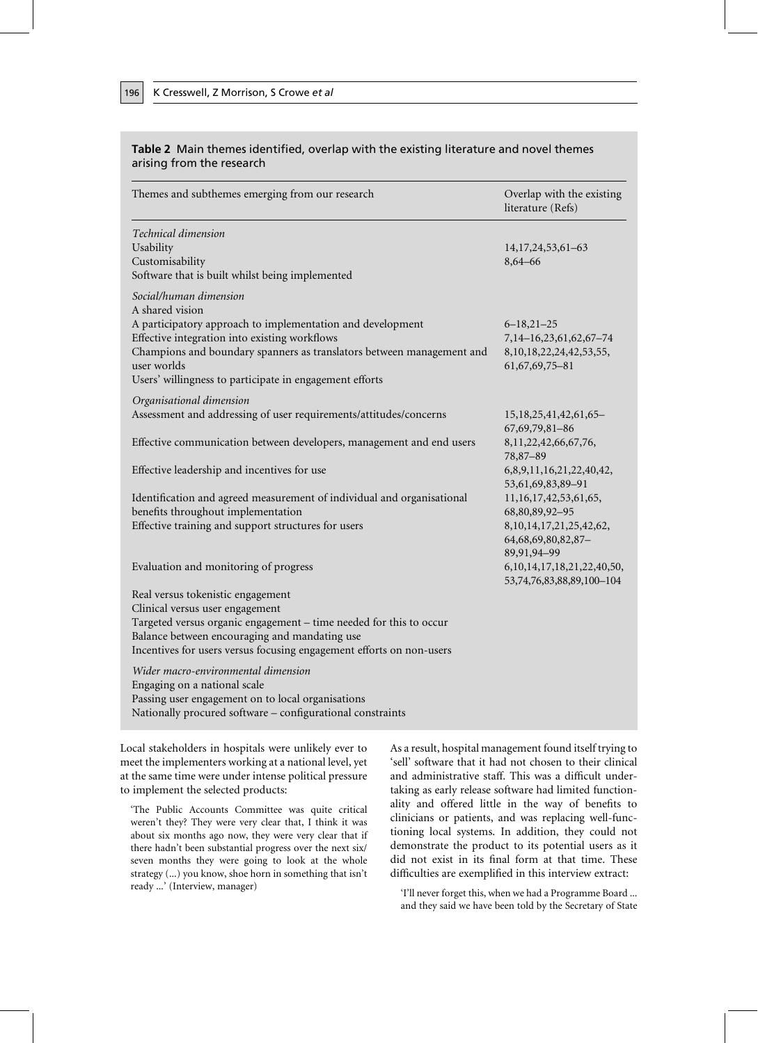| arising from the research                                                                                    |                                                |  |  |  |
|--------------------------------------------------------------------------------------------------------------|------------------------------------------------|--|--|--|
| Themes and subthemes emerging from our research                                                              | Overlap with the existing<br>literature (Refs) |  |  |  |
| Technical dimension                                                                                          |                                                |  |  |  |
| Usability                                                                                                    | 14, 17, 24, 53, 61 - 63                        |  |  |  |
| Customisability                                                                                              | 8,64-66                                        |  |  |  |
| Software that is built whilst being implemented                                                              |                                                |  |  |  |
| Social/human dimension<br>A shared vision                                                                    |                                                |  |  |  |
| A participatory approach to implementation and development                                                   | $6 - 18,21 - 25$                               |  |  |  |
| Effective integration into existing workflows                                                                | 7,14-16,23,61,62,67-74                         |  |  |  |
| Champions and boundary spanners as translators between management and                                        | 8, 10, 18, 22, 24, 42, 53, 55,                 |  |  |  |
| user worlds                                                                                                  | 61, 67, 69, 75 - 81                            |  |  |  |
| Users' willingness to participate in engagement efforts                                                      |                                                |  |  |  |
| Organisational dimension                                                                                     |                                                |  |  |  |
| Assessment and addressing of user requirements/attitudes/concerns                                            | 15, 18, 25, 41, 42, 61, 65 –                   |  |  |  |
|                                                                                                              | 67,69,79,81-86                                 |  |  |  |
| Effective communication between developers, management and end users                                         | 8,11,22,42,66,67,76,                           |  |  |  |
|                                                                                                              | 78,87-89                                       |  |  |  |
| Effective leadership and incentives for use                                                                  | 6,8,9,11,16,21,22,40,42,                       |  |  |  |
|                                                                                                              | 53,61,69,83,89-91                              |  |  |  |
| Identification and agreed measurement of individual and organisational<br>benefits throughout implementation | 11, 16, 17, 42, 53, 61, 65,<br>68,80,89,92-95  |  |  |  |
| Effective training and support structures for users                                                          | 8, 10, 14, 17, 21, 25, 42, 62,                 |  |  |  |
|                                                                                                              | 64, 68, 69, 80, 82, 87 -                       |  |  |  |
|                                                                                                              | 89,91,94-99                                    |  |  |  |
| Evaluation and monitoring of progress                                                                        | 6, 10, 14, 17, 18, 21, 22, 40, 50,             |  |  |  |
|                                                                                                              | 53,74,76,83,88,89,100-104                      |  |  |  |
| Real versus tokenistic engagement                                                                            |                                                |  |  |  |
| Clinical versus user engagement                                                                              |                                                |  |  |  |
| Targeted versus organic engagement - time needed for this to occur                                           |                                                |  |  |  |
| Balance between encouraging and mandating use                                                                |                                                |  |  |  |
| Incentives for users versus focusing engagement efforts on non-users                                         |                                                |  |  |  |
|                                                                                                              |                                                |  |  |  |

# Table 2 Main themes identified, overlap with the existing literature and novel themes

Wider macro-environmental dimension Engaging on a national scale Passing user engagement on to local organisations Nationally procured software - configurational constraints

Local stakeholders in hospitals were unlikely ever to meet the implementers working at a national level, yet at the same time were under intense political pressure to implement the selected products:

'The Public Accounts Committee was quite critical weren't they? They were very clear that, I think it was about six months ago now, they were very clear that if there hadn't been substantial progress over the next six/ seven months they were going to look at the whole strategy (...) you know, shoe horn in something that isn't ready ...' (Interview, manager)

As a result, hospital management found itself trying to 'sell' software that it had not chosen to their clinical and administrative staff. This was a difficult undertaking as early release software had limited functionality and offered little in the way of benefits to clinicians or patients, and was replacing well-functioning local systems. In addition, they could not demonstrate the product to its potential users as it did not exist in its final form at that time. These difficulties are exemplified in this interview extract:

'I'll never forget this, when we had a Programme Board ... and they said we have been told by the Secretary of State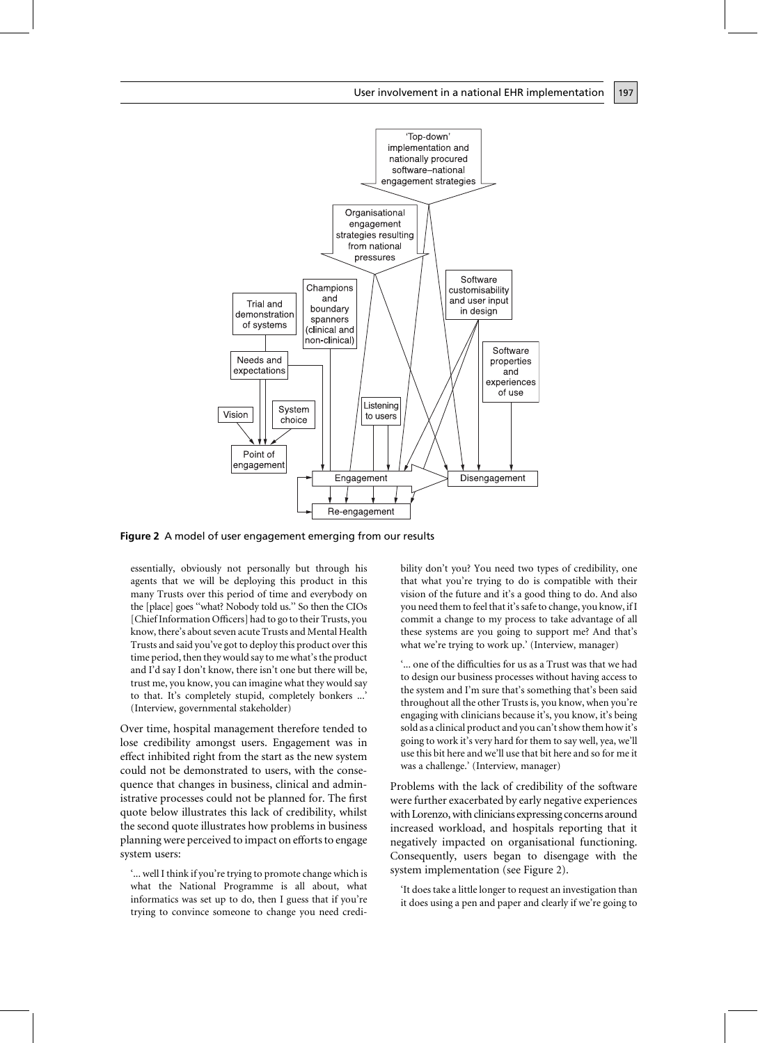

Figure 2 A model of user engagement emerging from our results

essentially, obviously not personally but through his agents that we will be deploying this product in this many Trusts over this period of time and everybody on the [place] goes "what? Nobody told us." So then the CIOs [Chief Information Officers] had to go to their Trusts, you know, there's about seven acute Trusts and Mental Health Trusts and said you've got to deploy this product over this time period, then they would say to me what's the product and I'd say I don't know, there isn't one but there will be, trust me, you know, you can imagine what they would say to that. It's completely stupid, completely bonkers ...' (Interview, governmental stakeholder)

Over time, hospital management therefore tended to lose credibility amongst users. Engagement was in effect inhibited right from the start as the new system could not be demonstrated to users, with the consequence that changes in business, clinical and administrative processes could not be planned for. The first quote below illustrates this lack of credibility, whilst the second quote illustrates how problems in business planning were perceived to impact on efforts to engage system users:

'... well I think if you're trying to promote change which is what the National Programme is all about, what informatics was set up to do, then I guess that if you're trying to convince someone to change you need credibility don't you? You need two types of credibility, one that what you're trying to do is compatible with their vision of the future and it's a good thing to do. And also you need them to feel that it's safe to change, you know, if I commit a change to my process to take advantage of all these systems are you going to support me? And that's what we're trying to work up.' (Interview, manager)

'... one of the difficulties for us as a Trust was that we had to design our business processes without having access to the system and I'm sure that's something that's been said throughout all the other Trusts is, you know, when you're engaging with clinicians because it's, you know, it's being sold as a clinical product and you can't show them how it's going to work it's very hard for them to say well, yea, we'll use this bit here and we'll use that bit here and so for me it was a challenge.' (Interview, manager)

Problems with the lack of credibility of the software were further exacerbated by early negative experiences with Lorenzo, with clinicians expressing concerns around increased workload, and hospitals reporting that it negatively impacted on organisational functioning. Consequently, users began to disengage with the system implementation (see Figure 2).

'It does take a little longer to request an investigation than it does using a pen and paper and clearly if we're going to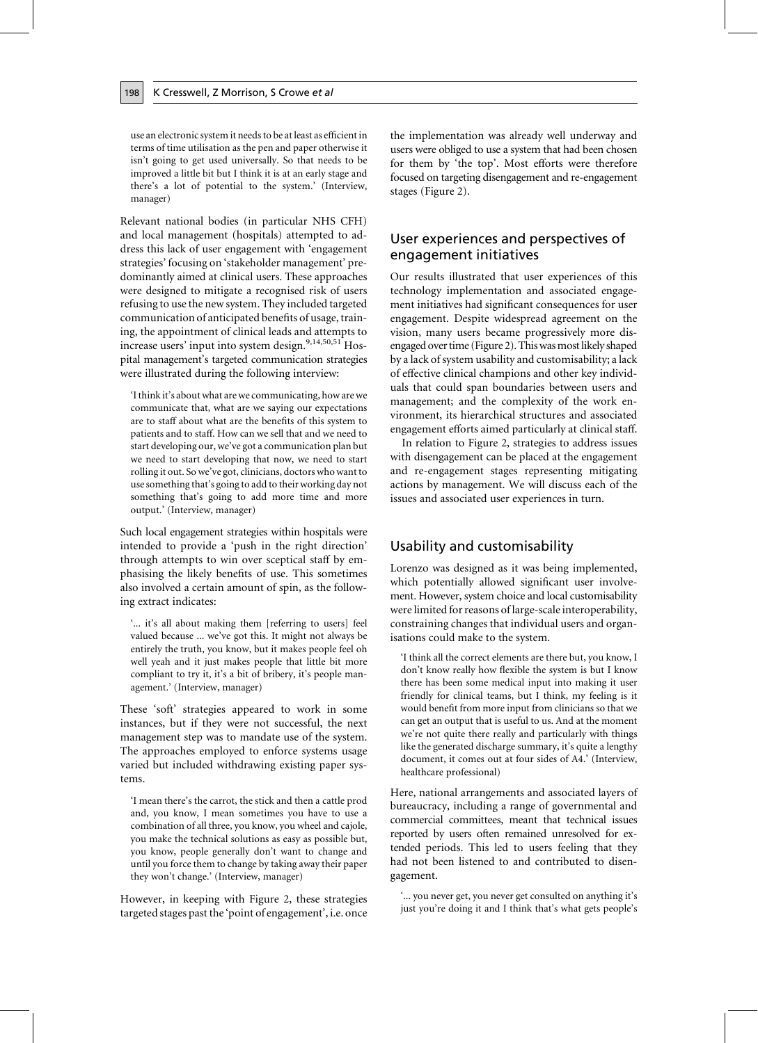use an electronic system it needs to be at least as efficient in terms of time utilisation as the pen and paper otherwise it isn't going to get used universally. So that needs to be improved a little bit but I think it is at an early stage and there's a lot of potential to the system.' (Interview, manager)

Relevant national bodies (in particular NHS CFH) and local management (hospitals) attempted to address this lack of user engagement with 'engagement strategies' focusing on 'stakeholder management' predominantly aimed at clinical users. These approaches were designed to mitigate a recognised risk of users refusing to use the new system. They included targeted communication of anticipated benefits of usage, training, the appointment of clinical leads and attempts to increase users' input into system design.<sup>9,14,50,51</sup> Hospital management's targeted communication strategies were illustrated during the following interview:

'I think it's about what are we communicating, how are we communicate that, what are we saying our expectations are to staff about what are the benefits of this system to patients and to staff. How can we sell that and we need to start developing our, we've got a communication plan but we need to start developing that now, we need to start rolling it out. So we've got, clinicians, doctors who want to use something that's going to add to their working day not something that's going to add more time and more output.' (Interview, manager)

Such local engagement strategies within hospitals were intended to provide a 'push in the right direction' through attempts to win over sceptical staff by emphasising the likely benefits of use. This sometimes also involved a certain amount of spin, as the following extract indicates:

"... it's all about making them [referring to users] feel valued because ... we've got this. It might not always be entirely the truth, you know, but it makes people feel oh well yeah and it just makes people that little bit more compliant to try it, it's a bit of bribery, it's people management.' (Interview, manager)

These 'soft' strategies appeared to work in some instances, but if they were not successful, the next management step was to mandate use of the system. The approaches employed to enforce systems usage varied but included withdrawing existing paper systems.

'I mean there's the carrot, the stick and then a cattle prod and, you know, I mean sometimes you have to use a combination of all three, you know, you wheel and cajole, you make the technical solutions as easy as possible but, you know, people generally don't want to change and until you force them to change by taking away their paper they won't change.' (Interview, manager)

However, in keeping with Figure 2, these strategies targeted stages past the 'point of engagement', i.e. once the implementation was already well underway and users were obliged to use a system that had been chosen for them by 'the top'. Most efforts were therefore focused on targeting disengagement and re-engagement stages (Figure 2).

# User experiences and perspectives of engagement initiatives

Our results illustrated that user experiences of this technology implementation and associated engagement initiatives had significant consequences for user engagement. Despite widespread agreement on the vision, many users became progressively more disengaged over time (Figure 2). This was most likely shaped by a lack of system usability and customisability; a lack of effective clinical champions and other key individuals that could span boundaries between users and management; and the complexity of the work environment, its hierarchical structures and associated engagement efforts aimed particularly at clinical staff.

In relation to Figure 2, strategies to address issues with disengagement can be placed at the engagement and re-engagement stages representing mitigating actions by management. We will discuss each of the issues and associated user experiences in turn.

### Usability and customisability

Lorenzo was designed as it was being implemented, which potentially allowed significant user involvement. However, system choice and local customisability were limited for reasons of large-scale interoperability, constraining changes that individual users and organisations could make to the system.

'I think all the correct elements are there but, you know, I don't know really how flexible the system is but I know there has been some medical input into making it user friendly for clinical teams, but I think, my feeling is it would benefit from more input from clinicians so that we can get an output that is useful to us. And at the moment we're not quite there really and particularly with things like the generated discharge summary, it's quite a lengthy document, it comes out at four sides of A4.' (Interview, healthcare professional)

Here, national arrangements and associated layers of bureaucracy, including a range of governmental and commercial committees, meant that technical issues reported by users often remained unresolved for extended periods. This led to users feeling that they had not been listened to and contributed to disengagement.

'... you never get, you never get consulted on anything it's just you're doing it and I think that's what gets people's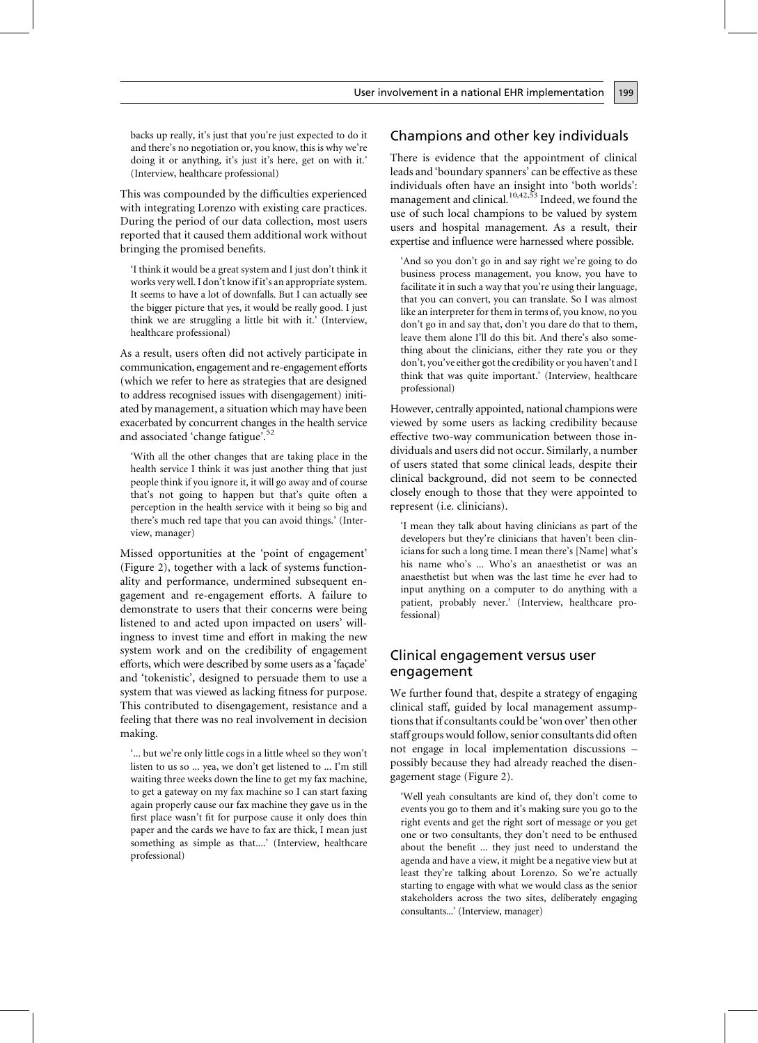backs up really, it's just that you're just expected to do it and there's no negotiation or, you know, this is why we're doing it or anything, it's just it's here, get on with it.' (Interview, healthcare professional)

This was compounded by the difficulties experienced with integrating Lorenzo with existing care practices. During the period of our data collection, most users reported that it caused them additional work without bringing the promised benefits.

'I think it would be a great system and I just don't think it works very well. I don't know if it's an appropriate system. It seems to have a lot of downfalls. But I can actually see the bigger picture that yes, it would be really good. I just think we are struggling a little bit with it.' (Interview, healthcare professional)

As a result, users often did not actively participate in communication, engagement and re-engagement efforts (which we refer to here as strategies that are designed to address recognised issues with disengagement) initiated by management, a situation which may have been exacerbated by concurrent changes in the health service and associated 'change fatigue'.<sup>52</sup>

'With all the other changes that are taking place in the health service I think it was just another thing that just people think if you ignore it, it will go away and of course that's not going to happen but that's quite often a perception in the health service with it being so big and there's much red tape that you can avoid things.' (Interview, manager)

Missed opportunities at the 'point of engagement' (Figure 2), together with a lack of systems functionality and performance, undermined subsequent engagement and re-engagement efforts. A failure to demonstrate to users that their concerns were being listened to and acted upon impacted on users' willingness to invest time and effort in making the new system work and on the credibility of engagement efforts, which were described by some users as a 'façade' and 'tokenistic', designed to persuade them to use a system that was viewed as lacking fitness for purpose. This contributed to disengagement, resistance and a feeling that there was no real involvement in decision making.

'... but we're only little cogs in a little wheel so they won't listen to us so ... yea, we don't get listened to ... I'm still waiting three weeks down the line to get my fax machine, to get a gateway on my fax machine so I can start faxing again properly cause our fax machine they gave us in the first place wasn't fit for purpose cause it only does thin paper and the cards we have to fax are thick, I mean just something as simple as that....' (Interview, healthcare professional)

# Champions and other key individuals

199

There is evidence that the appointment of clinical leads and 'boundary spanners' can be effective as these individuals often have an insight into 'both worlds': management and clinical.<sup>10,42,53</sup> Indeed, we found the use of such local champions to be valued by system users and hospital management. As a result, their expertise and influence were harnessed where possible.

'And so you don't go in and say right we're going to do business process management, you know, you have to facilitate it in such a way that you're using their language, that you can convert, you can translate. So I was almost like an interpreter for them in terms of, you know, no you don't go in and say that, don't you dare do that to them, leave them alone I'll do this bit. And there's also something about the clinicians, either they rate you or they don't, you've either got the credibility or you haven't and I think that was quite important.' (Interview, healthcare professional)

However, centrally appointed, national champions were viewed by some users as lacking credibility because effective two-way communication between those individuals and users did not occur. Similarly, a number of users stated that some clinical leads, despite their clinical background, did not seem to be connected closely enough to those that they were appointed to represent (i.e. clinicians).

'I mean they talk about having clinicians as part of the developers but they're clinicians that haven't been clinicians for such a long time. I mean there's [Name] what's his name who's ... Who's an anaesthetist or was an anaesthetist but when was the last time he ever had to input anything on a computer to do anything with a patient, probably never.' (Interview, healthcare professional)

### Clinical engagement versus user engagement

We further found that, despite a strategy of engaging clinical staff, guided by local management assumptions that if consultants could be 'won over' then other staff groups would follow, senior consultants did often not engage in local implementation discussions possibly because they had already reached the disengagement stage (Figure 2).

'Well yeah consultants are kind of, they don't come to events you go to them and it's making sure you go to the right events and get the right sort of message or you get one or two consultants, they don't need to be enthused about the benefit ... they just need to understand the agenda and have a view, it might be a negative view but at least they're talking about Lorenzo. So we're actually starting to engage with what we would class as the senior stakeholders across the two sites, deliberately engaging consultants...' (Interview, manager)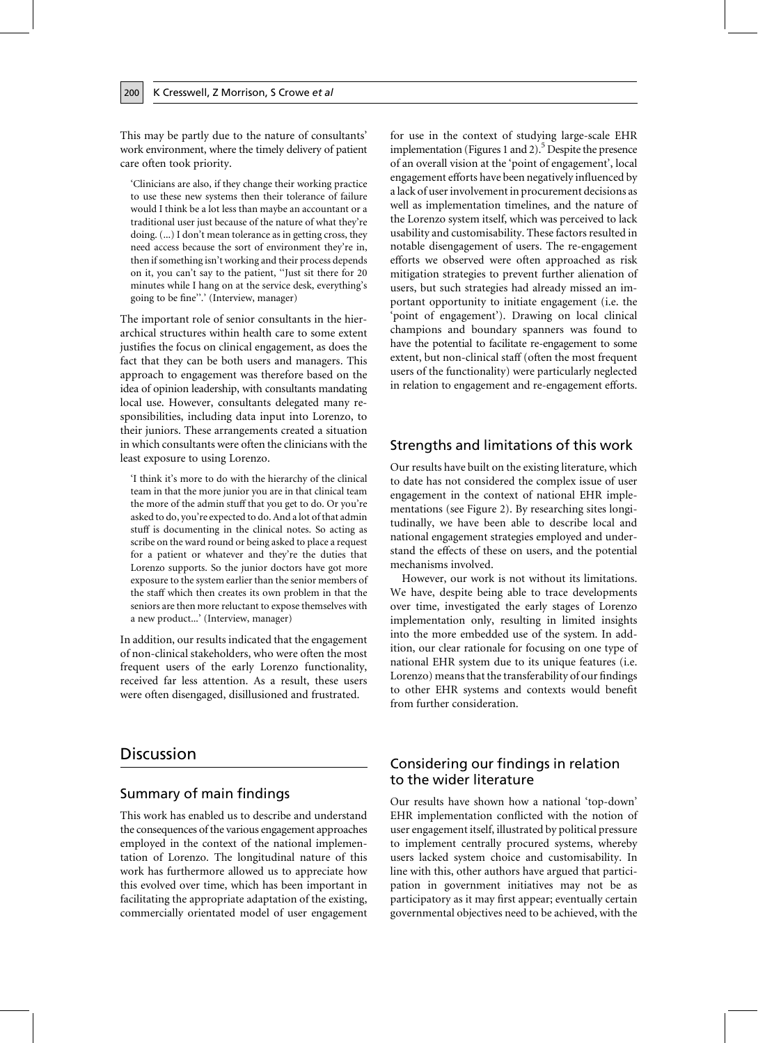This may be partly due to the nature of consultants' work environment, where the timely delivery of patient care often took priority.

'Clinicians are also, if they change their working practice to use these new systems then their tolerance of failure would I think be a lot less than maybe an accountant or a traditional user just because of the nature of what they're doing. (...) I don't mean tolerance as in getting cross, they need access because the sort of environment they're in, then if something isn't working and their process depends on it, you can't say to the patient, "Just sit there for 20 minutes while I hang on at the service desk, everything's going to be fine".' (Interview, manager)

The important role of senior consultants in the hierarchical structures within health care to some extent justifies the focus on clinical engagement, as does the fact that they can be both users and managers. This approach to engagement was therefore based on the idea of opinion leadership, with consultants mandating local use. However, consultants delegated many responsibilities, including data input into Lorenzo, to their juniors. These arrangements created a situation in which consultants were often the clinicians with the least exposure to using Lorenzo.

'I think it's more to do with the hierarchy of the clinical team in that the more junior you are in that clinical team the more of the admin stuff that you get to do. Or you're asked to do, you're expected to do. And a lot of that admin stuff is documenting in the clinical notes. So acting as scribe on the ward round or being asked to place a request for a patient or whatever and they're the duties that Lorenzo supports. So the junior doctors have got more exposure to the system earlier than the senior members of the staff which then creates its own problem in that the seniors are then more reluctant to expose themselves with a new product...' (Interview, manager)

In addition, our results indicated that the engagement of non-clinical stakeholders, who were often the most frequent users of the early Lorenzo functionality, received far less attention. As a result, these users were often disengaged, disillusioned and frustrated.

# **Discussion**

### Summary of main findings

This work has enabled us to describe and understand the consequences of the various engagement approaches employed in the context of the national implementation of Lorenzo. The longitudinal nature of this work has furthermore allowed us to appreciate how this evolved over time, which has been important in facilitating the appropriate adaptation of the existing, commercially orientated model of user engagement for use in the context of studying large-scale EHR implementation (Figures 1 and 2).<sup>5</sup> Despite the presence of an overall vision at the 'point of engagement', local engagement efforts have been negatively influenced by a lack of user involvement in procurement decisions as well as implementation timelines, and the nature of the Lorenzo system itself, which was perceived to lack usability and customisability. These factors resulted in notable disengagement of users. The re-engagement efforts we observed were often approached as risk mitigation strategies to prevent further alienation of users, but such strategies had already missed an important opportunity to initiate engagement (i.e. the 'point of engagement'). Drawing on local clinical champions and boundary spanners was found to have the potential to facilitate re-engagement to some extent, but non-clinical staff (often the most frequent users of the functionality) were particularly neglected in relation to engagement and re-engagement efforts.

### Strengths and limitations of this work

Our results have built on the existing literature, which to date has not considered the complex issue of user engagement in the context of national EHR implementations (see Figure 2). By researching sites longitudinally, we have been able to describe local and national engagement strategies employed and understand the effects of these on users, and the potential mechanisms involved.

However, our work is not without its limitations. We have, despite being able to trace developments over time, investigated the early stages of Lorenzo implementation only, resulting in limited insights into the more embedded use of the system. In addition, our clear rationale for focusing on one type of national EHR system due to its unique features (i.e. Lorenzo) means that the transferability of our findings to other EHR systems and contexts would benefit from further consideration.

# Considering our findings in relation to the wider literature

Our results have shown how a national 'top-down' EHR implementation conflicted with the notion of user engagement itself, illustrated by political pressure to implement centrally procured systems, whereby users lacked system choice and customisability. In line with this, other authors have argued that participation in government initiatives may not be as participatory as it may first appear; eventually certain governmental objectives need to be achieved, with the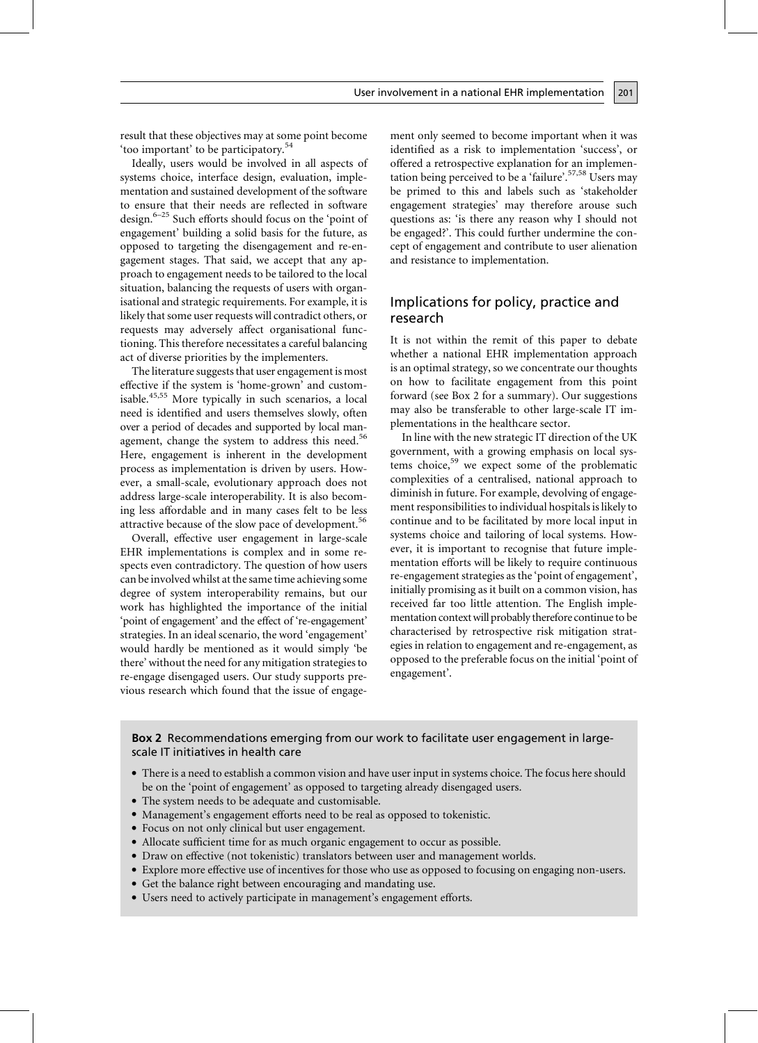result that these objectives may at some point become 'too important' to be participatory.<sup>54</sup>

Ideally, users would be involved in all aspects of systems choice, interface design, evaluation, implementation and sustained development of the software to ensure that their needs are reflected in software design. $6-25$  Such efforts should focus on the 'point of engagement' building a solid basis for the future, as opposed to targeting the disengagement and re-engagement stages. That said, we accept that any approach to engagement needs to be tailored to the local situation, balancing the requests of users with organisational and strategic requirements. For example, it is likely that some user requests will contradict others, or requests may adversely affect organisational functioning. This therefore necessitates a careful balancing act of diverse priorities by the implementers.

The literature suggests that user engagement is most effective if the system is 'home-grown' and customisable.<sup>45,55</sup> More typically in such scenarios, a local need is identified and users themselves slowly, often over a period of decades and supported by local management, change the system to address this need.<sup>56</sup> Here, engagement is inherent in the development process as implementation is driven by users. However, a small-scale, evolutionary approach does not address large-scale interoperability. It is also becoming less affordable and in many cases felt to be less attractive because of the slow pace of development.<sup>56</sup>

Overall, effective user engagement in large-scale EHR implementations is complex and in some respects even contradictory. The question of how users can be involved whilst at the same time achieving some degree of system interoperability remains, but our work has highlighted the importance of the initial 'point of engagement' and the effect of 're-engagement' strategies. In an ideal scenario, the word 'engagement' would hardly be mentioned as it would simply 'be there' without the need for any mitigation strategies to re-engage disengaged users. Our study supports previous research which found that the issue of engagement only seemed to become important when it was identified as a risk to implementation 'success', or offered a retrospective explanation for an implementation being perceived to be a 'failure'.<sup>57,58</sup> Users may be primed to this and labels such as 'stakeholder engagement strategies' may therefore arouse such questions as: 'is there any reason why I should not be engaged?'. This could further undermine the concept of engagement and contribute to user alienation and resistance to implementation.

201

### Implications for policy, practice and research

It is not within the remit of this paper to debate whether a national EHR implementation approach is an optimal strategy, so we concentrate our thoughts on how to facilitate engagement from this point forward (see Box 2 for a summary). Our suggestions may also be transferable to other large-scale IT implementations in the healthcare sector.

In line with the new strategic IT direction of the UK government, with a growing emphasis on local systems choice,<sup>59</sup> we expect some of the problematic complexities of a centralised, national approach to diminish in future. For example, devolving of engagement responsibilities to individual hospitals is likely to continue and to be facilitated by more local input in systems choice and tailoring of local systems. However, it is important to recognise that future implementation efforts will be likely to require continuous re-engagement strategies as the 'point of engagement', initially promising as it built on a common vision, has received far too little attention. The English implementation context will probably therefore continue to be characterised by retrospective risk mitigation strategies in relation to engagement and re-engagement, as opposed to the preferable focus on the initial 'point of engagement'.

Box 2 Recommendations emerging from our work to facilitate user engagement in largescale IT initiatives in health care

- There is a need to establish a common vision and have user input in systems choice. The focus here should be on the 'point of engagement' as opposed to targeting already disengaged users.
- The system needs to be adequate and customisable.
- Management's engagement efforts need to be real as opposed to tokenistic.
- Focus on not only clinical but user engagement.
- Allocate sufficient time for as much organic engagement to occur as possible.
- Draw on effective (not tokenistic) translators between user and management worlds.
- Explore more effective use of incentives for those who use as opposed to focusing on engaging non-users.
- Get the balance right between encouraging and mandating use.
- Users need to actively participate in management's engagement efforts.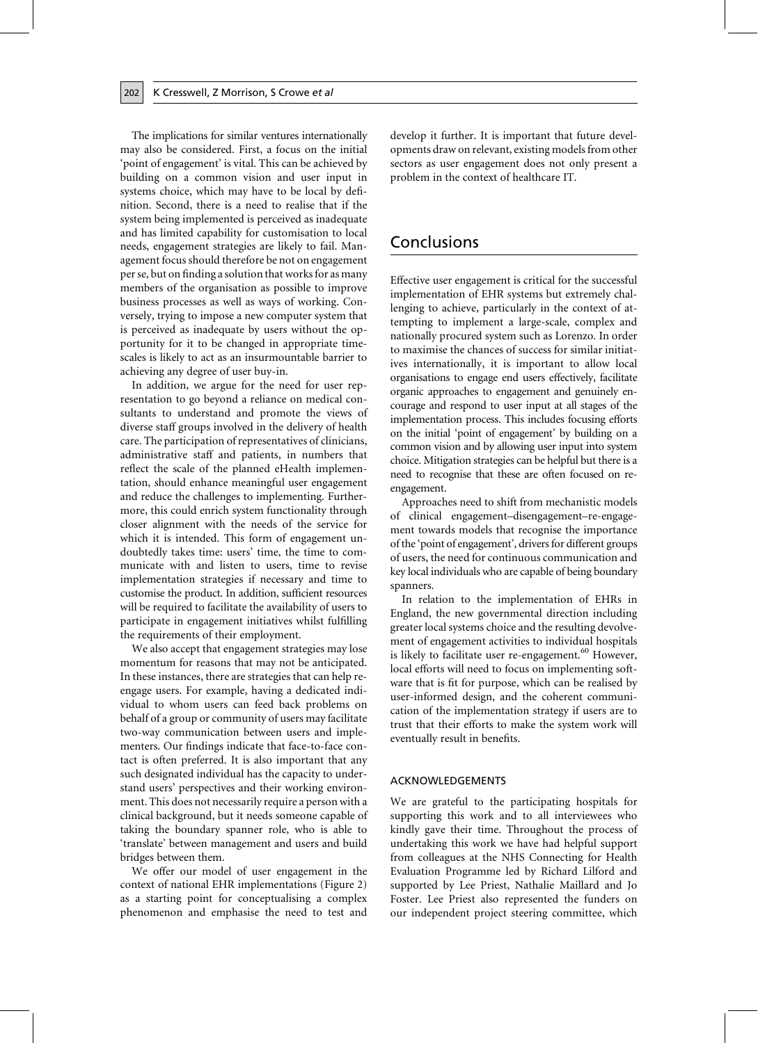The implications for similar ventures internationally may also be considered. First, a focus on the initial 'point of engagement' is vital. This can be achieved by building on a common vision and user input in systems choice, which may have to be local by definition. Second, there is a need to realise that if the system being implemented is perceived as inadequate and has limited capability for customisation to local needs, engagement strategies are likely to fail. Management focus should therefore be not on engagement per se, but on finding a solution that works for as many members of the organisation as possible to improve business processes as well as ways of working. Conversely, trying to impose a new computer system that is perceived as inadequate by users without the opportunity for it to be changed in appropriate timescales is likely to act as an insurmountable barrier to achieving any degree of user buy-in.

In addition, we argue for the need for user representation to go beyond a reliance on medical consultants to understand and promote the views of diverse staff groups involved in the delivery of health care. The participation of representatives of clinicians, administrative staff and patients, in numbers that reflect the scale of the planned eHealth implementation, should enhance meaningful user engagement and reduce the challenges to implementing. Furthermore, this could enrich system functionality through closer alignment with the needs of the service for which it is intended. This form of engagement undoubtedly takes time: users' time, the time to communicate with and listen to users, time to revise implementation strategies if necessary and time to customise the product. In addition, sufficient resources will be required to facilitate the availability of users to participate in engagement initiatives whilst fulfilling the requirements of their employment.

We also accept that engagement strategies may lose momentum for reasons that may not be anticipated. In these instances, there are strategies that can help reengage users. For example, having a dedicated individual to whom users can feed back problems on behalf of a group or community of users may facilitate two-way communication between users and implementers. Our findings indicate that face-to-face contact is often preferred. It is also important that any such designated individual has the capacity to understand users' perspectives and their working environment. This does not necessarily require a person with a clinical background, but it needs someone capable of taking the boundary spanner role, who is able to 'translate' between management and users and build bridges between them.

We offer our model of user engagement in the context of national EHR implementations (Figure 2) as a starting point for conceptualising a complex phenomenon and emphasise the need to test and develop it further. It is important that future developments draw on relevant, existing models from other sectors as user engagement does not only present a problem in the context of healthcare IT.

# Conclusions

Effective user engagement is critical for the successful implementation of EHR systems but extremely challenging to achieve, particularly in the context of attempting to implement a large-scale, complex and nationally procured system such as Lorenzo. In order to maximise the chances of success for similar initiatives internationally, it is important to allow local organisations to engage end users effectively, facilitate organic approaches to engagement and genuinely encourage and respond to user input at all stages of the implementation process. This includes focusing efforts on the initial 'point of engagement' by building on a common vision and by allowing user input into system choice. Mitigation strategies can be helpful but there is a need to recognise that these are often focused on reengagement.

Approaches need to shift from mechanistic models of clinical engagement-disengagement-re-engagement towards models that recognise the importance of the 'point of engagement', drivers for different groups of users, the need for continuous communication and key local individuals who are capable of being boundary spanners.

In relation to the implementation of EHRs in England, the new governmental direction including greater local systems choice and the resulting devolvement of engagement activities to individual hospitals is likely to facilitate user re-engagement.<sup>60</sup> However, local efforts will need to focus on implementing software that is fit for purpose, which can be realised by user-informed design, and the coherent communication of the implementation strategy if users are to trust that their efforts to make the system work will eventually result in benefits.

#### **ACKNOWLEDGEMENTS**

We are grateful to the participating hospitals for supporting this work and to all interviewees who kindly gave their time. Throughout the process of undertaking this work we have had helpful support from colleagues at the NHS Connecting for Health Evaluation Programme led by Richard Lilford and supported by Lee Priest, Nathalie Maillard and Jo Foster. Lee Priest also represented the funders on our independent project steering committee, which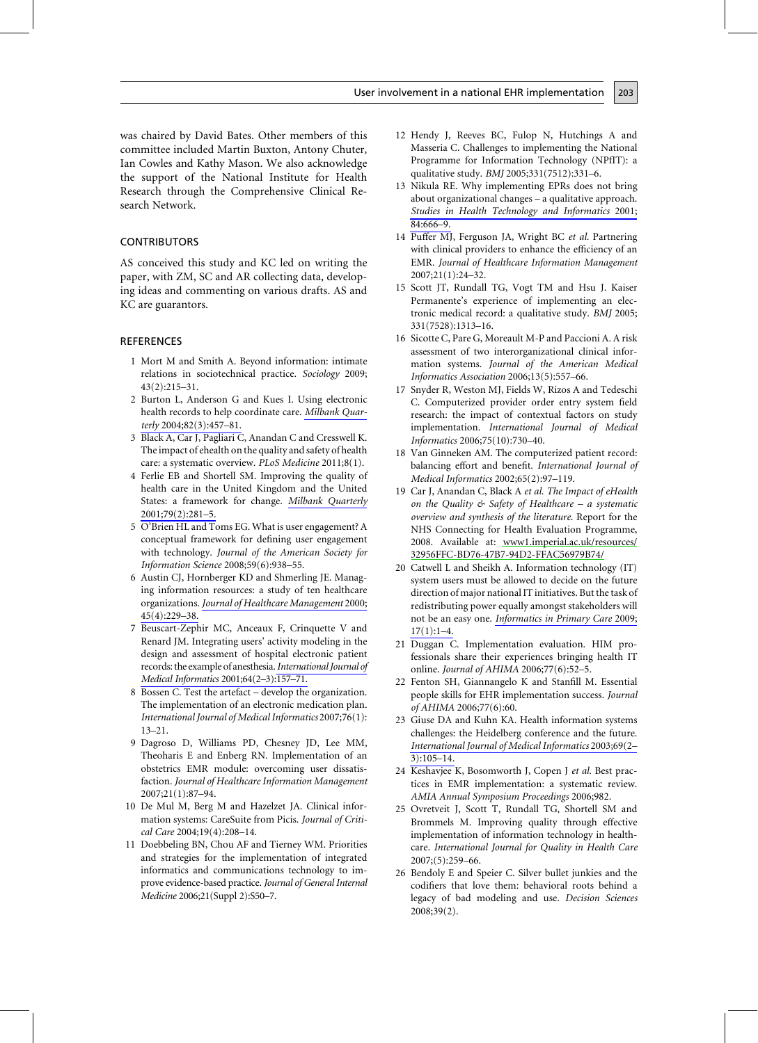was chaired by David Bates. Other members of this committee included Martin Buxton, Antony Chuter, Ian Cowles and Kathy Mason. We also acknowledge the support of the National Institute for Health Research through the Comprehensive Clinical Research Network.

### **CONTRIBUTORS**

AS conceived this study and KC led on writing the paper, with ZM, SC and AR collecting data, developing ideas and commenting on various drafts. AS and KC are guarantors.

### **REFERENCES**

- 1 Mort M and Smith A. Beyond information: intimate relations in sociotechnical practice. Sociology 2009;  $43(2):215-31.$
- 2 Burton L, Anderson G and Kues I. Using electronic health records to help coordinate care. Milbank Quarterly 2004;82(3):457-81.
- 3 Black A, Car J, Pagliari C, Anandan C and Cresswell K. The impact of ehealth on the quality and safety of health care: a systematic overview. PLoS Medicine 2011;8(1).
- 4 Ferlie EB and Shortell SM. Improving the quality of health care in the United Kingdom and the United States: a framework for change. Milbank Quarterly 2001;79(2):281-5.
- 5 O'Brien HL and Toms EG. What is user engagement? A conceptual framework for defining user engagement with technology. Journal of the American Society for Information Science 2008;59(6):938-55.
- 6 Austin CJ, Hornberger KD and Shmerling JE. Managing information resources: a study of ten healthcare organizations. Journal of Healthcare Management 2000; 45(4):229-38.
- 7 Beuscart-Zephir MC, Anceaux F, Crinquette V and Renard JM. Integrating users' activity modeling in the design and assessment of hospital electronic patient records: the example of anesthesia. International Journal of Medical Informatics 2001;64(2-3):157-71.
- 8 Bossen C. Test the artefact develop the organization. The implementation of an electronic medication plan. International Journal of Medical Informatics 2007;76(1):  $13 - 21.$
- 9 Dagroso D, Williams PD, Chesney JD, Lee MM, Theoharis E and Enberg RN. Implementation of an obstetrics EMR module: overcoming user dissatisfaction. Journal of Healthcare Information Management 2007;21(1):87-94.
- 10 De Mul M, Berg M and Hazelzet JA. Clinical information systems: CareSuite from Picis. Journal of Critical Care 2004;19(4):208-14.
- 11 Doebbeling BN, Chou AF and Tierney WM. Priorities and strategies for the implementation of integrated informatics and communications technology to improve evidence-based practice. Journal of General Internal Medicine 2006;21(Suppl 2):S50-7.

12 Hendy J, Reeves BC, Fulop N, Hutchings A and Masseria C. Challenges to implementing the National Programme for Information Technology (NPfIT): a qualitative study. BMJ 2005;331(7512):331-6.

- 13 Nikula RE. Why implementing EPRs does not bring about organizational changes - a qualitative approach. Studies in Health Technology and Informatics 2001; 84:666-9.
- 14 Puffer MJ, Ferguson JA, Wright BC et al. Partnering with clinical providers to enhance the efficiency of an EMR. Journal of Healthcare Information Management 2007;21(1):24-32.
- 15 Scott JT, Rundall TG, Vogt TM and Hsu J. Kaiser Permanente's experience of implementing an electronic medical record: a qualitative study. BMJ 2005; 331(7528):1313-16.
- 16 Sicotte C, Pare G, Moreault M-P and Paccioni A. A risk assessment of two interorganizational clinical information systems. Journal of the American Medical Informatics Association 2006;13(5):557-66.
- 17 Snyder R, Weston MJ, Fields W, Rizos A and Tedeschi C. Computerized provider order entry system field research: the impact of contextual factors on study implementation. International Journal of Medical Informatics 2006;75(10):730-40.
- 18 Van Ginneken AM. The computerized patient record: balancing effort and benefit. International Journal of Medical Informatics 2002;65(2):97-119.
- 19 Car J, Anandan C, Black A et al. The Impact of eHealth on the Quality  $\&$  Safety of Healthcare – a systematic overview and synthesis of the literature. Report for the NHS Connecting for Health Evaluation Programme, 2008. Available at: www1.imperial.ac.uk/resources/ 32956FFC-BD76-47B7-94D2-FFAC56979B74/
- 20 Catwell L and Sheikh A. Information technology (IT) system users must be allowed to decide on the future direction of major national IT initiatives. But the task of redistributing power equally amongst stakeholders will not be an easy one. Informatics in Primary Care 2009;  $17(1):1-4.$
- 21 Duggan C. Implementation evaluation. HIM professionals share their experiences bringing health IT online. Journal of AHIMA 2006;77(6):52-5.
- 22 Fenton SH, Giannangelo K and Stanfill M. Essential people skills for EHR implementation success. Journal of AHIMA 2006;77(6):60.
- 23 Giuse DA and Kuhn KA. Health information systems challenges: the Heidelberg conference and the future. International Journal of Medical Informatics 2003;69(2- $3):105 - 14.$
- 24 Keshavjee K, Bosomworth J, Copen J et al. Best practices in EMR implementation: a systematic review. AMIA Annual Symposium Proceedings 2006;982.
- 25 Ovretveit J, Scott T, Rundall TG, Shortell SM and Brommels M. Improving quality through effective implementation of information technology in healthcare. International Journal for Quality in Health Care 2007;(5):259-66.
- 26 Bendoly E and Speier C. Silver bullet junkies and the codifiers that love them: behavioral roots behind a legacy of bad modeling and use. Decision Sciences  $2008;39(2).$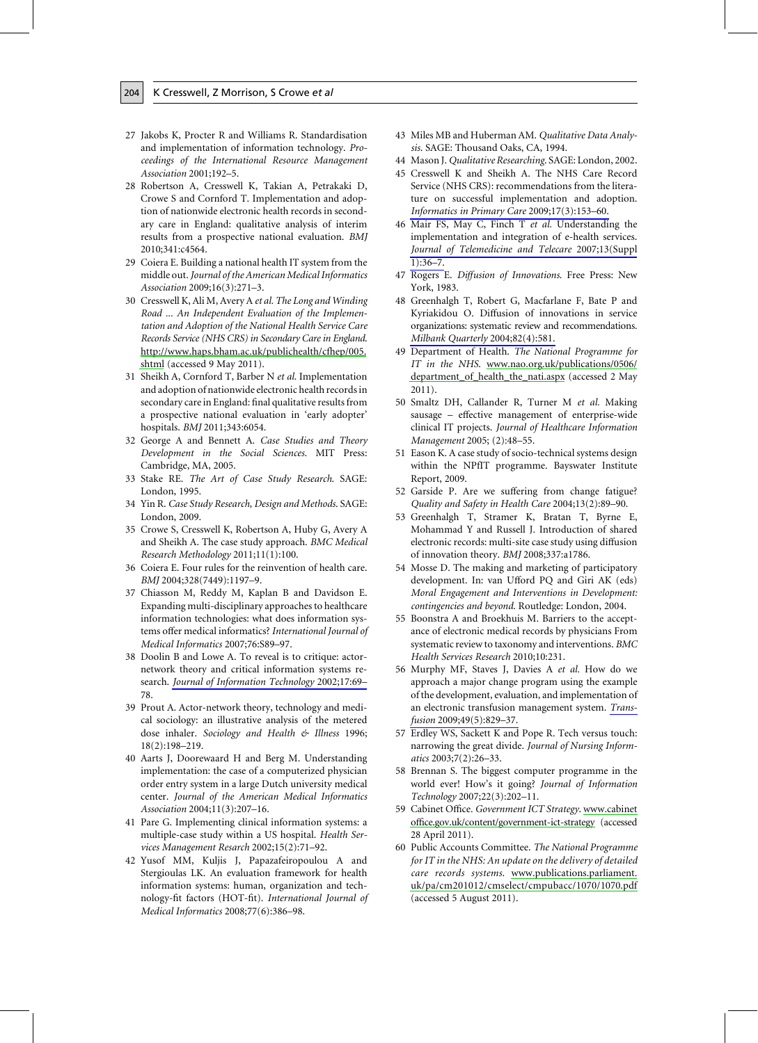- 27 Jakobs K, Procter R and Williams R. Standardisation and implementation of information technology. Proceedings of the International Resource Management Association 2001;192-5.
- 28 Robertson A, Cresswell K, Takian A, Petrakaki D, Crowe S and Cornford T. Implementation and adoption of nationwide electronic health records in secondary care in England: qualitative analysis of interim results from a prospective national evaluation. BMJ 2010;341:c4564.
- 29 Coiera E. Building a national health IT system from the middle out. Journal of the American Medical Informatics Association 2009;16(3):271-3.
- 30 Cresswell K, Ali M, Avery A et al. The Long and Winding Road ... An Independent Evaluation of the Implementation and Adoption of the National Health Service Care Records Service (NHS CRS) in Secondary Care in England. http://www.haps.bham.ac.uk/publichealth/cfhep/005. shtml (accessed 9 May 2011).
- 31 Sheikh A, Cornford T, Barber N et al. Implementation and adoption of nationwide electronic health records in secondary care in England: final qualitative results from a prospective national evaluation in 'early adopter' hospitals. BMJ 2011;343:6054.
- 32 George A and Bennett A. Case Studies and Theory Development in the Social Sciences. MIT Press: Cambridge, MA, 2005.
- 33 Stake RE. The Art of Case Study Research. SAGE: London, 1995.
- 34 Yin R. Case Study Research, Design and Methods. SAGE: London, 2009.
- 35 Crowe S, Cresswell K, Robertson A, Huby G, Avery A and Sheikh A. The case study approach. BMC Medical Research Methodology 2011;11(1):100.
- 36 Coiera E. Four rules for the reinvention of health care. BMJ 2004;328(7449):1197-9.
- 37 Chiasson M, Reddy M, Kaplan B and Davidson E. Expanding multi-disciplinary approaches to healthcare information technologies: what does information systems offer medical informatics? International Journal of Medical Informatics 2007;76:S89-97.
- 38 Doolin B and Lowe A. To reveal is to critique: actornetwork theory and critical information systems research. Journal of Information Technology 2002;17:69-78.
- 39 Prout A. Actor-network theory, technology and medical sociology: an illustrative analysis of the metered dose inhaler. Sociology and Health & Illness 1996;  $18(2):198 - 219.$
- 40 Aarts J, Doorewaard H and Berg M. Understanding implementation: the case of a computerized physician order entry system in a large Dutch university medical center. Journal of the American Medical Informatics Association 2004;11(3):207-16.
- 41 Pare G. Implementing clinical information systems: a multiple-case study within a US hospital. Health Services Management Resarch 2002;15(2):71–92.
- 42 Yusof MM, Kuljis J, Papazafeiropoulou A and Stergioulas LK. An evaluation framework for health information systems: human, organization and technology-fit factors (HOT-fit). International Journal of Medical Informatics 2008;77(6):386-98.
- 43 Miles MB and Huberman AM. Qualitative Data Analysis. SAGE: Thousand Oaks, CA, 1994.
- 44 Mason J. Qualitative Researching. SAGE: London, 2002.
- 45 Cresswell K and Sheikh A. The NHS Care Record Service (NHS CRS): recommendations from the literature on successful implementation and adoption. Informatics in Primary Care 2009;17(3):153-60.
- 46 Mair FS, May C, Finch T et al. Understanding the implementation and integration of e-health services. Journal of Telemedicine and Telecare 2007;13(Suppl  $1):36-7.$
- 47 Rogers E. Diffusion of Innovations. Free Press: New York, 1983.
- 48 Greenhalgh T, Robert G, Macfarlane F, Bate P and Kyriakidou O. Diffusion of innovations in service organizations: systematic review and recommendations. Milbank Quarterly 2004;82(4):581.
- 49 Department of Health. The National Programme for IT in the NHS. www.nao.org.uk/publications/0506/ department\_of\_health\_the\_nati.aspx (accessed 2 May  $2011$ ).
- 50 Smaltz DH, Callander R, Turner M et al. Making sausage - effective management of enterprise-wide clinical IT projects. Journal of Healthcare Information Management 2005; (2):48-55.
- 51 Eason K. A case study of socio-technical systems design within the NPfIT programme. Bayswater Institute Report, 2009.
- 52 Garside P. Are we suffering from change fatigue? Quality and Safety in Health Care 2004;13(2):89–90.
- 53 Greenhalgh T, Stramer K, Bratan T, Byrne E, Mohammad Y and Russell J. Introduction of shared electronic records: multi-site case study using diffusion of innovation theory. BMJ 2008;337:a1786.
- 54 Mosse D. The making and marketing of participatory development. In: van Ufford PQ and Giri AK (eds) Moral Engagement and Interventions in Development: contingencies and beyond. Routledge: London, 2004.
- 55 Boonstra A and Broekhuis M. Barriers to the acceptance of electronic medical records by physicians From systematic review to taxonomy and interventions. BMC Health Services Research 2010;10:231.
- 56 Murphy MF, Staves J, Davies A et al. How do we approach a major change program using the example of the development, evaluation, and implementation of an electronic transfusion management system. Transfusion 2009;49(5):829-37.
- 57 Erdley WS, Sackett K and Pope R. Tech versus touch: narrowing the great divide. Journal of Nursing Informatics 2003;7(2):26-33.
- 58 Brennan S. The biggest computer programme in the world ever! How's it going? Journal of Information Technology 2007;22(3):202-11.
- 59 Cabinet Office. Government ICT Strategy. www.cabinet office.gov.uk/content/government-ict-strategy (accessed 28 April 2011).
- 60 Public Accounts Committee. The National Programme for IT in the NHS: An update on the delivery of detailed care records systems. www.publications.parliament. uk/pa/cm201012/cmselect/cmpubacc/1070/1070.pdf (accessed 5 August 2011).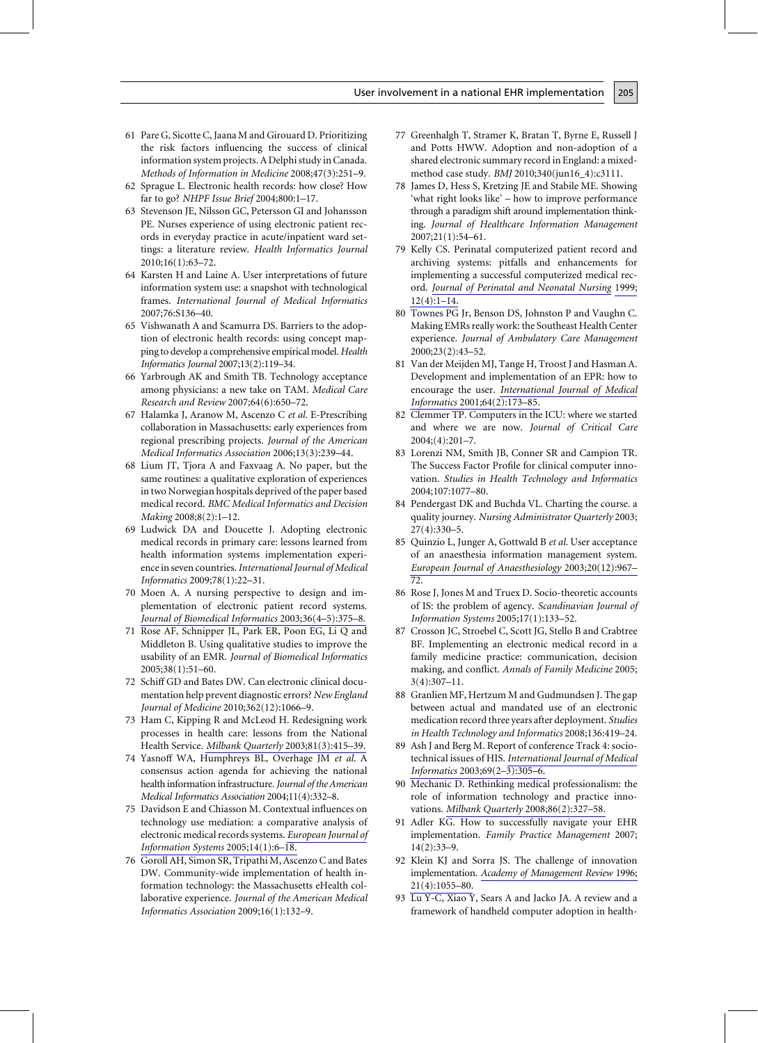- 61 Pare G, Sicotte C, Jaana M and Girouard D. Prioritizing the risk factors influencing the success of clinical information system projects. A Delphi study in Canada. Methods of Information in Medicine 2008;47(3):251-9.
- 62 Sprague L. Electronic health records: how close? How far to go? NHPF Issue Brief 2004;800:1-17.
- 63 Stevenson JE, Nilsson GC, Petersson GI and Johansson PE. Nurses experience of using electronic patient records in everyday practice in acute/inpatient ward settings: a literature review. Health Informatics Journal 2010;16(1):63-72.
- 64 Karsten H and Laine A. User interpretations of future information system use: a snapshot with technological frames. International Journal of Medical Informatics 2007;76:S136-40.
- 65 Vishwanath A and Scamurra DS. Barriers to the adoption of electronic health records: using concept mapping to develop a comprehensive empirical model. Health Informatics Journal 2007;13(2):119-34.
- 66 Yarbrough AK and Smith TB. Technology acceptance among physicians: a new take on TAM. Medical Care Research and Review 2007;64(6):650-72.
- 67 Halamka J, Aranow M, Ascenzo C et al. E-Prescribing collaboration in Massachusetts: early experiences from regional prescribing projects. Journal of the American Medical Informatics Association 2006;13(3):239-44.
- 68 Lium JT, Tjora A and Faxvaag A. No paper, but the same routines: a qualitative exploration of experiences in two Norwegian hospitals deprived of the paper based medical record. BMC Medical Informatics and Decision Making 2008;8(2):1-12.
- 69 Ludwick DA and Doucette J. Adopting electronic medical records in primary care: lessons learned from health information systems implementation experience in seven countries. International Journal of Medical Informatics 2009;78(1):22-31.
- 70 Moen A. A nursing perspective to design and implementation of electronic patient record systems. Journal of Biomedical Informatics 2003;36(4–5):375–8.
- 71 Rose AF, Schnipper JL, Park ER, Poon EG, Li Q and Middleton B. Using qualitative studies to improve the usability of an EMR. Journal of Biomedical Informatics 2005;38(1):51-60.
- 72 Schiff GD and Bates DW. Can electronic clinical documentation help prevent diagnostic errors? New England Journal of Medicine 2010;362(12):1066–9.
- 73 Ham C, Kipping R and McLeod H. Redesigning work processes in health care: lessons from the National Health Service. Milbank Quarterly 2003;81(3):415-39.
- 74 Yasnoff WA, Humphreys BL, Overhage JM et al. A consensus action agenda for achieving the national health information infrastructure. Journal of the American Medical Informatics Association 2004;11(4):332-8.
- 75 Davidson E and Chiasson M. Contextual influences on technology use mediation: a comparative analysis of electronic medical records systems. European Journal of Information Systems 2005;14(1):6–18.
- 76 Goroll AH, Simon SR, Tripathi M, Ascenzo C and Bates DW. Community-wide implementation of health information technology: the Massachusetts eHealth collaborative experience. Journal of the American Medical Informatics Association 2009;16(1):132-9.

77 Greenhalgh T, Stramer K, Bratan T, Byrne E, Russell J and Potts HWW. Adoption and non-adoption of a shared electronic summary record in England: a mixedmethod case study. BMJ 2010;340(jun16 4):c3111.

- 78 James D, Hess S, Kretzing JE and Stabile ME. Showing 'what right looks like' - how to improve performance through a paradigm shift around implementation thinking. Journal of Healthcare Information Management 2007;21(1):54-61.
- 79 Kelly CS. Perinatal computerized patient record and archiving systems: pitfalls and enhancements for implementing a successful computerized medical record. Journal of Perinatal and Neonatal Nursing 1999;  $12(4):1-14.$
- 80 Townes PG Jr, Benson DS, Johnston P and Vaughn C. Making EMRs really work: the Southeast Health Center experience. Journal of Ambulatory Care Management 2000;23(2):43-52.
- 81 Van der Meijden MJ, Tange H, Troost J and Hasman A. Development and implementation of an EPR: how to encourage the user. International Journal of Medical Informatics 2001;64(2):173-85.
- 82 Clemmer TP. Computers in the ICU: where we started and where we are now. Journal of Critical Care  $2004; (4):201 - 7.$
- 83 Lorenzi NM, Smith JB, Conner SR and Campion TR. The Success Factor Profile for clinical computer innovation. Studies in Health Technology and Informatics 2004;107:1077-80.
- 84 Pendergast DK and Buchda VL. Charting the course, a quality journey. Nursing Administrator Quarterly 2003;  $27(4):330-5.$
- 85 Quinzio L, Junger A, Gottwald B et al. User acceptance of an anaesthesia information management system. European Journal of Anaesthesiology 2003;20(12):967- $72.$
- 86 Rose J, Jones M and Truex D. Socio-theoretic accounts of IS: the problem of agency. Scandinavian Journal of Information Systems 2005;17(1):133-52.
- 87 Crosson JC, Stroebel C, Scott JG, Stello B and Crabtree BF. Implementing an electronic medical record in a family medicine practice: communication, decision making, and conflict. Annals of Family Medicine 2005;  $3(4):307-11.$
- 88 Granlien MF, Hertzum M and Gudmundsen J. The gap between actual and mandated use of an electronic medication record three years after deployment. Studies in Health Technology and Informatics 2008;136:419-24.
- 89 Ash J and Berg M. Report of conference Track 4: sociotechnical issues of HIS. International Journal of Medical Informatics 2003;69(2-3):305-6.
- 90 Mechanic D. Rethinking medical professionalism: the role of information technology and practice innovations. Milbank Quarterly 2008;86(2):327-58.
- 91 Adler KG. How to successfully navigate your EHR implementation. Family Practice Management 2007;  $14(2):33-9.$
- 92 Klein KJ and Sorra JS. The challenge of innovation implementation. Academy of Management Review 1996;  $21(4):1055 - 80.$
- 93 Lu Y-C, Xiao Y, Sears A and Jacko JA. A review and a framework of handheld computer adoption in health-